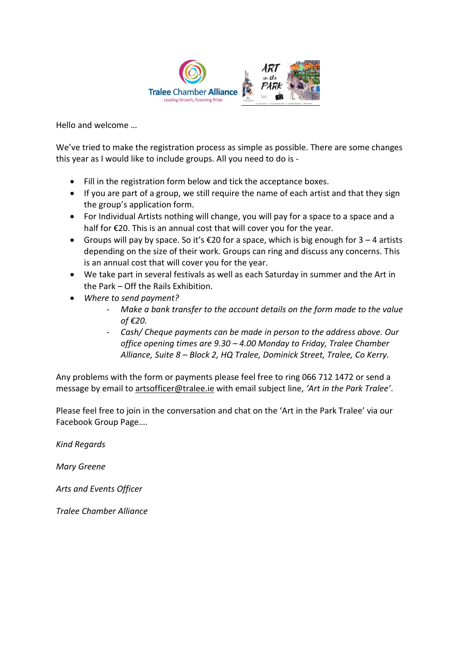

Hello and welcome …

We've tried to make the registration process as simple as possible. There are some changes this year as I would like to include groups. All you need to do is -

- Fill in the registration form below and tick the acceptance boxes.
- If you are part of a group, we still require the name of each artist and that they sign the group's application form.
- For Individual Artists nothing will change, you will pay for a space to a space and a half for €20. This is an annual cost that will cover you for the year.
- Groups will pay by space. So it's  $\epsilon$ 20 for a space, which is big enough for 3 4 artists depending on the size of their work. Groups can ring and discuss any concerns. This is an annual cost that will cover you for the year.
- We take part in several festivals as well as each Saturday in summer and the Art in the Park – Off the Rails Exhibition.
- *Where to send payment?*
	- *Make a bank transfer to the account details on the form made to the value of €20.*
	- *Cash/ Cheque payments can be made in person to the address above. Our office opening times are 9.30 – 4.00 Monday to Friday, Tralee Chamber Alliance, Suite 8 – Block 2, HQ Tralee, Dominick Street, Tralee, Co Kerry.*

Any problems with the form or payments please feel free to ring 066 712 1472 or send a message by email to [artsofficer@tralee.ie](mailto:artsofficer@tralee.ie) with email subject line, *'Art in the Park Tralee'*.

Please feel free to join in the conversation and chat on the '[Art in the Park Tralee](http://https/www.facebook.com/groups/peoplesphotography/)' via our [Facebook Group Page](http://https/www.facebook.com/groups/peoplesphotography/)….

*Kind Regards*

*Mary Greene*

*Arts and Events Officer* 

*Tralee Chamber Alliance*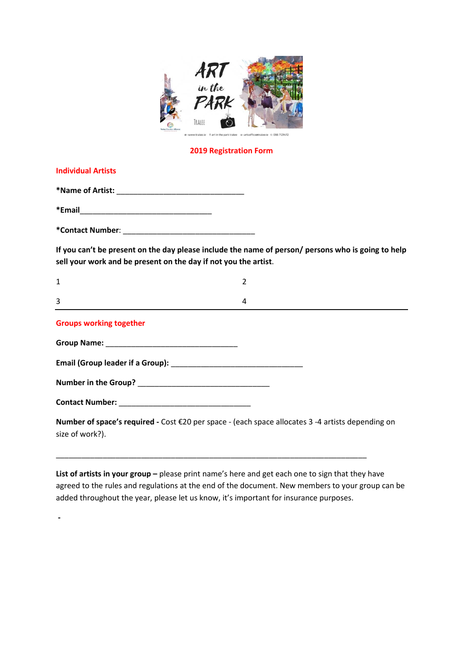

## **2019 Registration Form**

| <b>Individual Artists</b>                                                                                                                                             |                |  |
|-----------------------------------------------------------------------------------------------------------------------------------------------------------------------|----------------|--|
|                                                                                                                                                                       |                |  |
|                                                                                                                                                                       |                |  |
|                                                                                                                                                                       |                |  |
| If you can't be present on the day please include the name of person/ persons who is going to help<br>sell your work and be present on the day if not you the artist. |                |  |
| $\mathbf{1}$                                                                                                                                                          | $\overline{2}$ |  |
| 3                                                                                                                                                                     | 4              |  |
| <b>Groups working together</b>                                                                                                                                        |                |  |
|                                                                                                                                                                       |                |  |
|                                                                                                                                                                       |                |  |
|                                                                                                                                                                       |                |  |
|                                                                                                                                                                       |                |  |
| Number of space's required - Cost €20 per space - (each space allocates 3 -4 artists depending on<br>size of work?).                                                  |                |  |

List of artists in your group - please print name's here and get each one to sign that they have agreed to the rules and regulations at the end of the document. New members to your group can be added throughout the year, please let us know, it's important for insurance purposes.

\_\_\_\_\_\_\_\_\_\_\_\_\_\_\_\_\_\_\_\_\_\_\_\_\_\_\_\_\_\_\_\_\_\_\_\_\_\_\_\_\_\_\_\_\_\_\_\_\_\_\_\_\_\_\_\_\_\_\_\_\_\_\_\_\_\_\_\_\_\_\_\_\_

**-**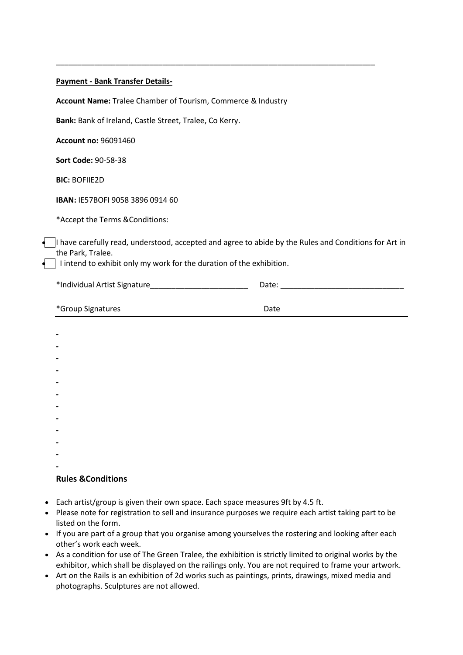## **Payment - Bank Transfer Details-**

**Account Name:** Tralee Chamber of Tourism, Commerce & Industry

**Bank:** Bank of Ireland, Castle Street, Tralee, Co Kerry.

**Account no:** 96091460

**Sort Code:** 90-58-38

**BIC:** BOFIIE2D

**IBAN:** IE57BOFI 9058 3896 0914 60

\*Accept the Terms &Conditions:

 I have carefully read, understood, accepted and agree to abide by the Rules and Conditions for Art in the Park, Tralee.

\_\_\_\_\_\_\_\_\_\_\_\_\_\_\_\_\_\_\_\_\_\_\_\_\_\_\_\_\_\_\_\_\_\_\_\_\_\_\_\_\_\_\_\_\_\_\_\_\_\_\_\_\_\_\_\_\_\_\_\_\_\_\_\_\_\_\_\_\_\_\_\_\_\_\_

 $\Box$  I intend to exhibit only my work for the duration of the exhibition.

\*Individual Artist Signature\_\_\_\_\_\_\_\_\_\_\_\_\_\_\_\_\_\_\_\_\_\_\_ Date: \_\_\_\_\_\_\_\_\_\_\_\_\_\_\_\_\_\_\_\_\_\_\_\_\_\_\_\_\_ \*Group Signatures Date

| -                        |  |  |  |
|--------------------------|--|--|--|
|                          |  |  |  |
|                          |  |  |  |
| ٠                        |  |  |  |
| ٠                        |  |  |  |
| ٠                        |  |  |  |
| -                        |  |  |  |
| $\overline{\phantom{0}}$ |  |  |  |
|                          |  |  |  |

## **Rules &Conditions**

- Each artist/group is given their own space. Each space measures 9ft by 4.5 ft.
- Please note for registration to sell and insurance purposes we require each artist taking part to be listed on the form.
- If you are part of a group that you organise among yourselves the rostering and looking after each other's work each week.
- As a condition for use of The Green Tralee, the exhibition is strictly limited to original works by the exhibitor, which shall be displayed on the railings only. You are not required to frame your artwork.
- Art on the Rails is an exhibition of 2d works such as paintings, prints, drawings, mixed media and photographs. Sculptures are not allowed.